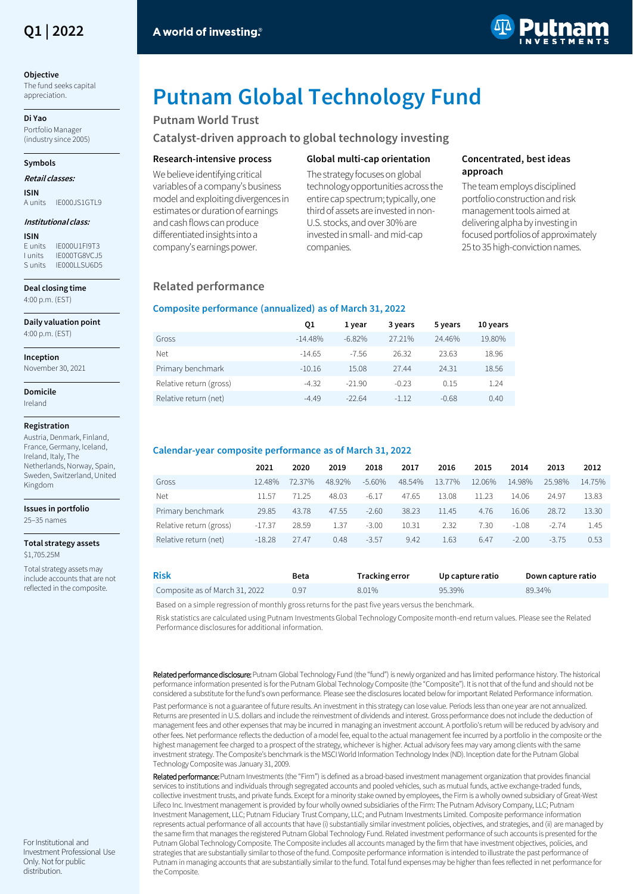

#### **Objective**

The fund seeks capital appreciation.

**Di Yao**

Portfolio Manager (industry since 2005)

#### **Symbols**

#### **Retail classes:**

**ISIN** IE000JS1GTL9

#### **Institutional class:**

**ISIN** E units IE000U1FI9T3<br>
l units IF000TG8VC IF IFOOOTG8VCJ5 S units IF000LLSU6D5

**Deal closing time** 4:00 p.m. (EST)

**Daily valuation point**

4:00 p.m. (EST)

**Inception** 

November 30, 2021

**Domicile** Ireland

#### **Registration**

Austria, Denmark, Finland, France, Germany, Iceland, Ireland, Italy, The Netherlands, Norway, Spain, Sweden, Switzerland, United Kingdom

#### **Issues in portfolio** 25–35 names

**Total strategy assets** \$1,705.25M

Total strategy assets may include accounts that are not reflected in the composite.



# **Putnam Global Technology Fund**

# **Putnam World Trust**

**Catalyst-driven approach to global technology investing**

## **Research-intensive process**

We believe identifying critical variables of a company's business model and exploiting divergences in estimates or duration of earnings and cash flows can produce differentiated insights into a company's earnings power.

# **Global multi-cap orientation**

The strategy focuses on global technology opportunities across the entire cap spectrum; typically, one third of assets are invested in non-U.S. stocks, and over 30% are invested in small-and mid-cap companies.

# **Concentrated, best ideas approach**

The team employs disciplined portfolio construction and risk management tools aimed at delivering alpha by investing in focused portfolios of approximately 25 to 35 high-conviction names.

# **Related performance**

## **Composite performance (annualized) as of March 31, 2022**

|                         | Q1        | 1 vear   | 3 years | 5 years | 10 years |
|-------------------------|-----------|----------|---------|---------|----------|
| Gross                   | $-14.48%$ | $-6.82%$ | 27.21%  | 24.46%  | 19.80%   |
| Net                     | $-14.65$  | $-7.56$  | 26.32   | 23.63   | 18.96    |
| Primary benchmark       | $-10.16$  | 15.08    | 27.44   | 24.31   | 18.56    |
| Relative return (gross) | $-4.32$   | $-21.90$ | $-0.23$ | 0.15    | 1.24     |
| Relative return (net)   | $-4.49$   | $-22.64$ | $-1.12$ | $-0.68$ | 0.40     |

# **Calendar-year composite performance as of March 31, 2022**

| 2021     | 2020   | 2019   | 2018     | 2017   | 2016   | 2015   | 2014    | 2013    | 2012   |
|----------|--------|--------|----------|--------|--------|--------|---------|---------|--------|
| 12.48%   | 72.37% | 48.92% | $-5.60%$ | 48.54% | 13.77% | 12.06% | 14.98%  | 25.98%  | 14.75% |
| 11.57    | 71.25  | 48.03  | -6.17    | 47.65  | 13.08  | 11.23  | 14.06   | 24.97   | 13.83  |
| 29.85    | 43.78  | 47.55  | $-2.60$  | 38.23  | 11.45  | 4.76   | 16.06   | 28.72   | 13.30  |
| $-17.37$ | 28.59  | 1.37   | $-3.00$  | 10.31  | 2.32   | 7.30   | $-1.08$ | $-2.74$ | 1.45   |
| $-18.28$ | 27.47  | 0.48   | $-3.57$  | 9.42   | 1.63   | 6.47   | $-2.00$ | $-3.75$ | 0.53   |
|          |        |        |          |        |        |        |         |         |        |

| <b>Risk</b>                    | Beta | Tracking error | Up capture ratio | Down capture ratio |
|--------------------------------|------|----------------|------------------|--------------------|
| Composite as of March 31, 2022 | 0.97 | 8.01%          | 95.39%           | 89.34%             |

Based on a simple regression of monthly gross returns for the past five years versus the benchmark.

Risk statistics are calculated using Putnam Investments Global Technology Composite month-end return values. Please see the Related Performance disclosures for additional information.

Related performance disclosure: Putnam Global Technology Fund (the "fund") is newly organized and has limited performance history. The historical performance information presented is for the Putnam Global Technology Composite (the "Composite"). It is not that of the fund and should not be considered a substitute for the fund's own performance. Please see the disclosures located below for important Related Performance information.

Past performance is not a guarantee of future results. An investment in this strategy can lose value. Periods less than one year are not annualized. Returns are presented in U.S. dollars and include the reinvestment of dividends and interest. Gross performance does not include the deduction of management fees and other expenses that may be incurred in managing an investment account. A portfolio's return will be reduced by advisory and other fees. Net performance reflects the deduction of a model fee, equal to the actual management fee incurred by a portfolio in the composite or the highest management fee charged to a prospect of the strategy, whichever is higher. Actual advisory fees may vary among clients with the same investment strategy. The Composite's benchmark is the MSCI World Information Technology Index (ND). Inception date for the Putnam Global Technology Composite was January 31, 2009.

Related performance: Putnam Investments (the "Firm") is defined as a broad-based investment management organization that provides financial services to institutions and individuals through segregated accounts and pooled vehicles, such as mutual funds, active exchange-traded funds, collective investment trusts, and private funds. Except for a minority stake owned by employees, the Firm is a wholly owned subsidiary of Great-West Lifeco Inc. Investment management is provided by four wholly owned subsidiaries of the Firm: The Putnam Advisory Company, LLC; Putnam Investment Management, LLC; Putnam Fiduciary Trust Company, LLC; and Putnam Investments Limited. Composite performance information represents actual performance of all accounts that have (i) substantially similar investment policies, objectives, and strategies, and (ii) are managed by the same firm that manages the registered Putnam Global Technology Fund. Related investment performance of such accounts is presented for the Putnam Global Technology Composite. The Composite includes all accounts managed by the firm that have investment objectives, policies, and strategies that are substantially similar to those of the fund. Composite performance information is intended to illustrate the past performance of Putnam in managing accounts that are substantially similar to the fund. Total fund expenses may be higher than fees reflected in net performance for the Composite.

For Institutional and Investment Professional Use Only. Not for public distribution.